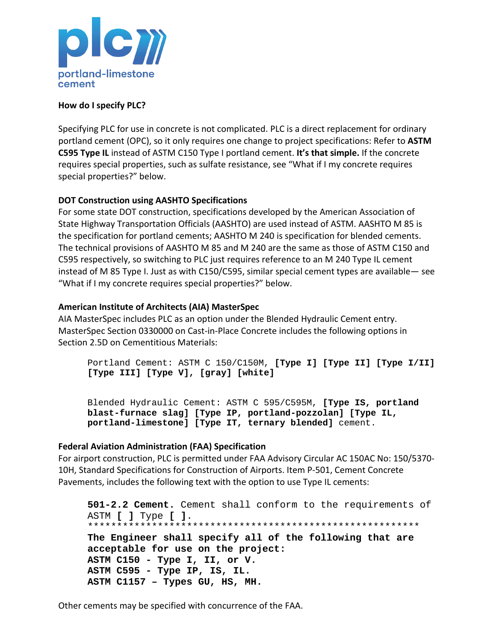

### **How do I specify PLC?**

Specifying PLC for use in concrete is not complicated. PLC is a direct replacement for ordinary portland cement (OPC), so it only requires one change to project specifications: Refer to **ASTM C595 Type IL** instead of ASTM C150 Type I portland cement. **It's that simple.** If the concrete requires special properties, such as sulfate resistance, see "What if I my concrete requires special properties?" below.

# **DOT Construction using AASHTO Specifications**

For some state DOT construction, specifications developed by the American Association of State Highway Transportation Officials (AASHTO) are used instead of ASTM. AASHTO M 85 is the specification for portland cements; AASHTO M 240 is specification for blended cements. The technical provisions of AASHTO M 85 and M 240 are the same as those of ASTM C150 and C595 respectively, so switching to PLC just requires reference to an M 240 Type IL cement instead of M 85 Type I. Just as with C150/C595, similar special cement types are available— see "What if I my concrete requires special properties?" below.

### **American Institute of Architects (AIA) MasterSpec**

AIA MasterSpec includes PLC as an option under the Blended Hydraulic Cement entry. MasterSpec Section 0330000 on Cast-in-Place Concrete includes the following options in Section 2.5D on Cementitious Materials:

Portland Cement: ASTM C 150/C150M, **[Type I] [Type II] [Type I/II] [Type III] [Type V], [gray] [white]**

Blended Hydraulic Cement: ASTM C 595/C595M, **[Type IS, portland blast-furnace slag] [Type IP, portland-pozzolan] [Type IL, portland-limestone] [Type IT, ternary blended]** cement.

#### **Federal Aviation Administration (FAA) Specification**

For airport construction, PLC is permitted under FAA Advisory Circular AC 150AC No: 150/5370-10H, Standard Specifications for Construction of Airports. Item P-501, Cement Concrete Pavements, includes the following text with the option to use Type IL cements:

**501-2.2 Cement.** Cement shall conform to the requirements of ASTM **[ ]** Type **[ ]**. \*\*\*\*\*\*\*\*\*\*\*\*\*\*\*\*\*\*\*\*\*\*\*\*\*\*\*\*\*\*\*\*\*\*\*\*\*\*\*\*\*\*\*\*\*\*\*\*\*\*\*\*\*\*\*\*\* **The Engineer shall specify all of the following that are acceptable for use on the project: ASTM C150 - Type I, II, or V. ASTM C595 - Type IP, IS, IL. ASTM C1157 – Types GU, HS, MH.** 

Other cements may be specified with concurrence of the FAA.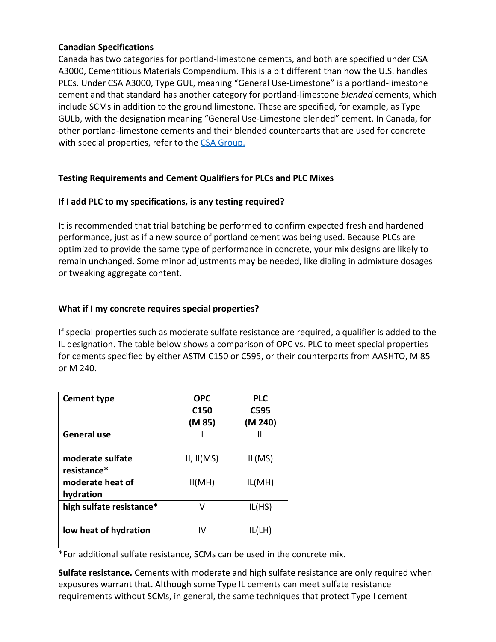### **Canadian Specifications**

Canada has two categories for portland-limestone cements, and both are specified under CSA A3000, Cementitious Materials Compendium. This is a bit different than how the U.S. handles PLCs. Under CSA A3000, Type GUL, meaning "General Use-Limestone" is a portland-limestone cement and that standard has another category for portland-limestone *blended* cements, which include SCMs in addition to the ground limestone. These are specified, for example, as Type GULb, with the designation meaning "General Use-Limestone blended" cement. In Canada, for other portland-limestone cements and their blended counterparts that are used for concrete with special properties, refer to the [CSA Group.](https://www.csagroup.org/)

# **Testing Requirements and Cement Qualifiers for PLCs and PLC Mixes**

### **If I add PLC to my specifications, is any testing required?**

It is recommended that trial batching be performed to confirm expected fresh and hardened performance, just as if a new source of portland cement was being used. Because PLCs are optimized to provide the same type of performance in concrete, your mix designs are likely to remain unchanged. Some minor adjustments may be needed, like dialing in admixture dosages or tweaking aggregate content.

### **What if I my concrete requires special properties?**

If special properties such as moderate sulfate resistance are required, a qualifier is added to the IL designation. The table below shows a comparison of OPC vs. PLC to meet special properties for cements specified by either ASTM C150 or C595, or their counterparts from AASHTO, M 85 or M 240.

| <b>Cement type</b>              | <b>OPC</b><br>C <sub>150</sub> | <b>PLC</b><br>C595 |
|---------------------------------|--------------------------------|--------------------|
|                                 | (M 85)                         | (M 240)            |
| General use                     |                                | Ш.                 |
| moderate sulfate<br>resistance* | II, II(MS)                     | IL(MS)             |
| moderate heat of<br>hydration   | II(MH)                         | IL(MH)             |
| high sulfate resistance*        | v                              | IL(HS)             |
| low heat of hydration           | IV                             | IL(LH)             |

\*For additional sulfate resistance, SCMs can be used in the concrete mix.

**Sulfate resistance.** Cements with moderate and high sulfate resistance are only required when exposures warrant that. Although some Type IL cements can meet sulfate resistance requirements without SCMs, in general, the same techniques that protect Type I cement